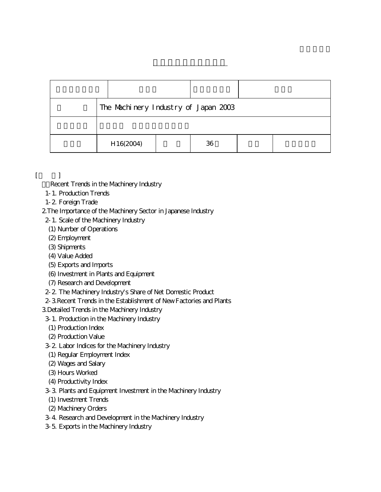| The Machinery Industry of Japan 2003 |  |    |  |  |
|--------------------------------------|--|----|--|--|
|                                      |  |    |  |  |
| H16(2004)                            |  | 36 |  |  |

- $\lceil$ 
	- Recent Trends in the Machinery Industry
	- 1-1. Production Trends
	- 1-2. Foreign Trade
	- 2.The Importance of the Machinery Sector in Japanese Industry
	- 2-1. Scale of the Machinery Industry
	- (1) Number of Operations
	- (2) Employment
	- (3) Shipments
	- (4) Value Added
	- (5) Exports and Imports
	- (6) Investment in Plants and Equipment
	- (7) Research and Development
	- 2-2. The Machinery Industry's Share of Net Domestic Product
	- 2-3.Recent Trends in the Establishment of New Factories and Plants
	- 3.Detailed Trends in the Machinery Industry
	- 3-1. Production in the Machinery Industry
	- (1) Production Index
	- (2) Production Value
	- 3-2. Labor Indices for the Machinery Industry
	- (1) Regular Employment Index
	- (2) Wages and Salary
	- (3) Hours Worked
	- (4) Productivity Index
	- 3-3. Plants and Equipment Investment in the Machinery Industry
	- (1) Investment Trends
	- (2) Machinery Orders
	- 3-4. Research and Development in the Machinery Industry
	- 3-5. Exports in the Machinery Industry